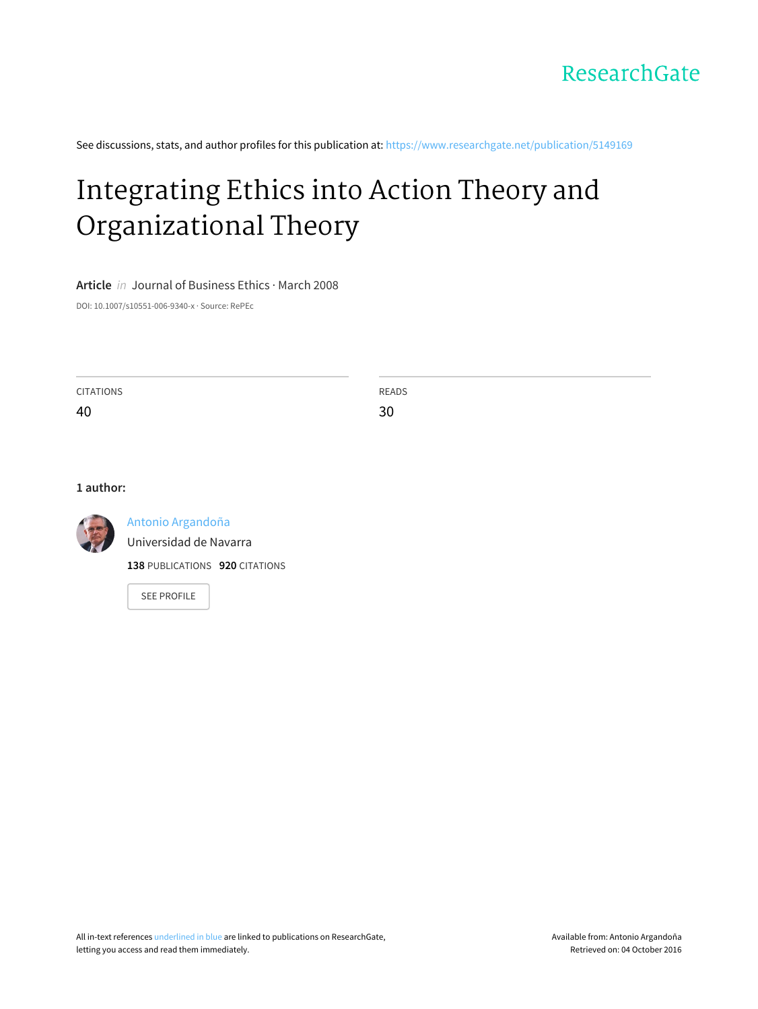

See discussions, stats, and author profiles for this publication at: [https://www.researchgate.net/publication/5149169](https://www.researchgate.net/publication/5149169_Integrating_Ethics_into_Action_Theory_and_Organizational_Theory?enrichId=rgreq-1fe0d867d7643e207a550e6175a7468d-XXX&enrichSource=Y292ZXJQYWdlOzUxNDkxNjk7QVM6MzE5NjI3OTAzNjAyNjg4QDE0NTMyMTY2MzgzODk%3D&el=1_x_2)

# Integrating Ethics into Action Theory and [Organizational](https://www.researchgate.net/publication/5149169_Integrating_Ethics_into_Action_Theory_and_Organizational_Theory?enrichId=rgreq-1fe0d867d7643e207a550e6175a7468d-XXX&enrichSource=Y292ZXJQYWdlOzUxNDkxNjk7QVM6MzE5NjI3OTAzNjAyNjg4QDE0NTMyMTY2MzgzODk%3D&el=1_x_3) Theory

**Article** in Journal of Business Ethics · March 2008

DOI: 10.1007/s10551-006-9340-x · Source: RePEc

| CITATIONS | READS |
|-----------|-------|
| 40        | 30    |
|           |       |

## **1 author:**



Antonio [Argandoña](https://www.researchgate.net/profile/Antonio_Argandona?enrichId=rgreq-1fe0d867d7643e207a550e6175a7468d-XXX&enrichSource=Y292ZXJQYWdlOzUxNDkxNjk7QVM6MzE5NjI3OTAzNjAyNjg4QDE0NTMyMTY2MzgzODk%3D&el=1_x_5)

[Universidad](https://www.researchgate.net/institution/Universidad_de_Navarra?enrichId=rgreq-1fe0d867d7643e207a550e6175a7468d-XXX&enrichSource=Y292ZXJQYWdlOzUxNDkxNjk7QVM6MzE5NjI3OTAzNjAyNjg4QDE0NTMyMTY2MzgzODk%3D&el=1_x_6) de Navarra

**138** PUBLICATIONS **920** CITATIONS

SEE [PROFILE](https://www.researchgate.net/profile/Antonio_Argandona?enrichId=rgreq-1fe0d867d7643e207a550e6175a7468d-XXX&enrichSource=Y292ZXJQYWdlOzUxNDkxNjk7QVM6MzE5NjI3OTAzNjAyNjg4QDE0NTMyMTY2MzgzODk%3D&el=1_x_7)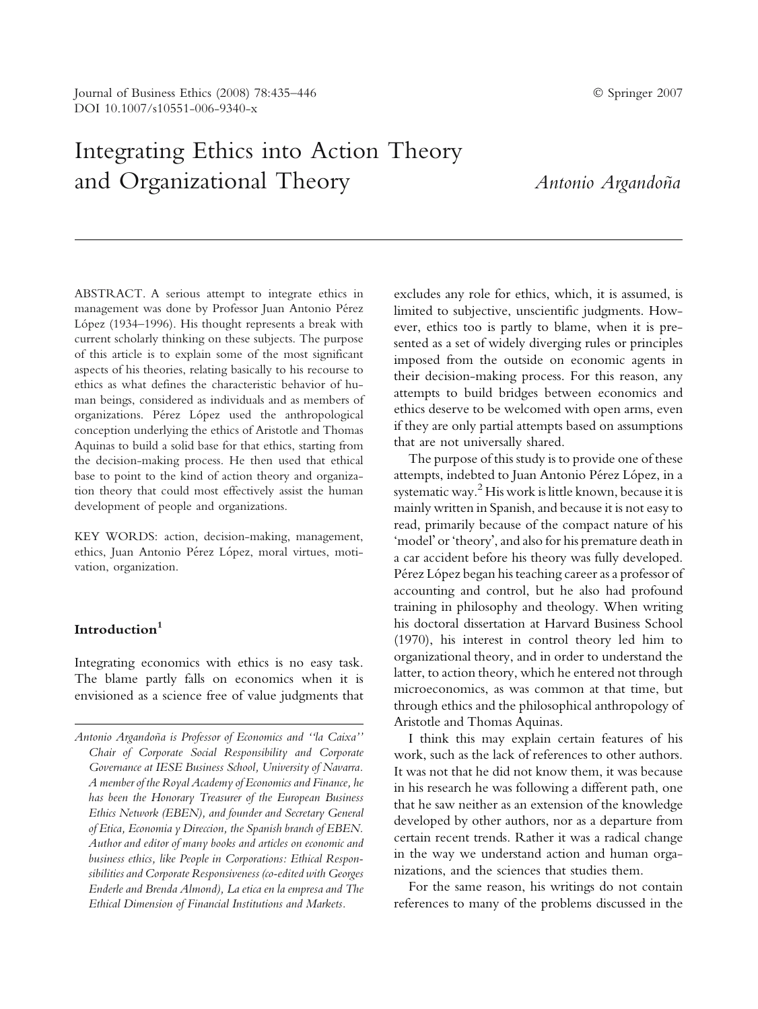ABSTRACT. A serious attempt to integrate ethics in management was done by Professor Juan Antonio Pérez López (1934–1996). His thought represents a break with current scholarly thinking on these subjects. The purpose of this article is to explain some of the most significant aspects of his theories, relating basically to his recourse to ethics as what defines the characteristic behavior of human beings, considered as individuals and as members of organizations. Pérez López used the anthropological conception underlying the ethics of Aristotle and Thomas Aquinas to build a solid base for that ethics, starting from the decision-making process. He then used that ethical base to point to the kind of action theory and organization theory that could most effectively assist the human development of people and organizations.

KEY WORDS: action, decision-making, management, ethics, Juan Antonio Pérez López, moral virtues, motivation, organization.

# Introduction<sup>1</sup>

Integrating economics with ethics is no easy task. The blame partly falls on economics when it is envisioned as a science free of value judgments that excludes any role for ethics, which, it is assumed, is limited to subjective, unscientific judgments. However, ethics too is partly to blame, when it is presented as a set of widely diverging rules or principles imposed from the outside on economic agents in their decision-making process. For this reason, any attempts to build bridges between economics and ethics deserve to be welcomed with open arms, even if they are only partial attempts based on assumptions that are not universally shared.

The purpose of this study is to provide one of these attempts, indebted to Juan Antonio Pérez López, in a systematic way. $2$  His work is little known, because it is mainly written in Spanish, and because it is not easy to read, primarily because of the compact nature of his 'model' or 'theory', and also for his premature death in a car accident before his theory was fully developed. Pérez López began his teaching career as a professor of accounting and control, but he also had profound training in philosophy and theology. When writing his doctoral dissertation at Harvard Business School (1970), his interest in control theory led him to organizational theory, and in order to understand the latter, to action theory, which he entered not through microeconomics, as was common at that time, but through ethics and the philosophical anthropology of Aristotle and Thomas Aquinas.

I think this may explain certain features of his work, such as the lack of references to other authors. It was not that he did not know them, it was because in his research he was following a different path, one that he saw neither as an extension of the knowledge developed by other authors, nor as a departure from certain recent trends. Rather it was a radical change in the way we understand action and human organizations, and the sciences that studies them.

For the same reason, his writings do not contain references to many of the problems discussed in the

Antonio Argandoña is Professor of Economics and ''la Caixa'' Chair of Corporate Social Responsibility and Corporate Governance at IESE Business School, University of Navarra. A member of the Royal Academy of Economics and Finance, he has been the Honorary Treasurer of the European Business Ethics Network (EBEN), and founder and Secretary General of Etica, Economia y Direccion, the Spanish branch of EBEN. Author and editor of many books and articles on economic and business ethics, like People in Corporations: Ethical Responsibilities and Corporate Responsiveness (co-edited with Georges Enderle and Brenda Almond), La etica en la empresa and The Ethical Dimension of Financial Institutions and Markets.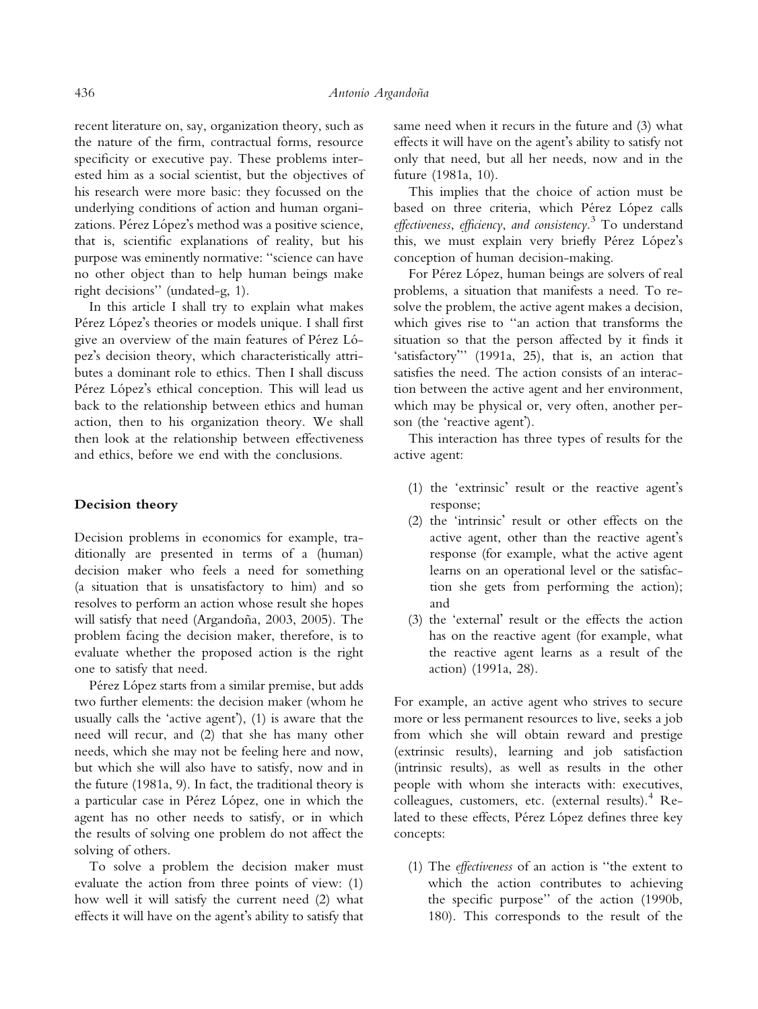recent literature on, say, organization theory, such as the nature of the firm, contractual forms, resource specificity or executive pay. These problems interested him as a social scientist, but the objectives of his research were more basic: they focussed on the underlying conditions of action and human organizations. Pérez López's method was a positive science, that is, scientific explanations of reality, but his purpose was eminently normative: ''science can have no other object than to help human beings make right decisions'' (undated-g, 1).

In this article I shall try to explain what makes Pérez López's theories or models unique. I shall first give an overview of the main features of Pérez López's decision theory, which characteristically attributes a dominant role to ethics. Then I shall discuss Pérez López's ethical conception. This will lead us back to the relationship between ethics and human action, then to his organization theory. We shall then look at the relationship between effectiveness and ethics, before we end with the conclusions.

#### Decision theory

Decision problems in economics for example, traditionally are presented in terms of a (human) decision maker who feels a need for something (a situation that is unsatisfactory to him) and so resolves to perform an action whose result she hopes will satisfy that need (Argandoña, 2003, 2005). The problem facing the decision maker, therefore, is to evaluate whether the proposed action is the right one to satisfy that need.

Pérez López starts from a similar premise, but adds two further elements: the decision maker (whom he usually calls the 'active agent'),  $(1)$  is aware that the need will recur, and (2) that she has many other needs, which she may not be feeling here and now, but which she will also have to satisfy, now and in the future (1981a, 9). In fact, the traditional theory is a particular case in Pérez López, one in which the agent has no other needs to satisfy, or in which the results of solving one problem do not affect the solving of others.

To solve a problem the decision maker must evaluate the action from three points of view: (1) how well it will satisfy the current need (2) what effects it will have on the agent's ability to satisfy that same need when it recurs in the future and (3) what effects it will have on the agent's ability to satisfy not only that need, but all her needs, now and in the future (1981a, 10).

This implies that the choice of action must be based on three criteria, which Pérez López calls effectiveness, efficiency, and consistency.<sup>3</sup> To understand this, we must explain very briefly Pérez López's conception of human decision-making.

For Pérez López, human beings are solvers of real problems, a situation that manifests a need. To resolve the problem, the active agent makes a decision, which gives rise to ''an action that transforms the situation so that the person affected by it finds it 'satisfactory'" (1991a, 25), that is, an action that satisfies the need. The action consists of an interaction between the active agent and her environment, which may be physical or, very often, another person (the 'reactive agent').

This interaction has three types of results for the active agent:

- (1) the 'extrinsic' result or the reactive agent's response;
- (2) the 'intrinsic' result or other effects on the active agent, other than the reactive agent's response (for example, what the active agent learns on an operational level or the satisfaction she gets from performing the action); and
- (3) the 'external' result or the effects the action has on the reactive agent (for example, what the reactive agent learns as a result of the action) (1991a, 28).

For example, an active agent who strives to secure more or less permanent resources to live, seeks a job from which she will obtain reward and prestige (extrinsic results), learning and job satisfaction (intrinsic results), as well as results in the other people with whom she interacts with: executives, colleagues, customers, etc. (external results).<sup>4</sup> Related to these effects, Pérez López defines three key concepts:

(1) The effectiveness of an action is ''the extent to which the action contributes to achieving the specific purpose'' of the action (1990b, 180). This corresponds to the result of the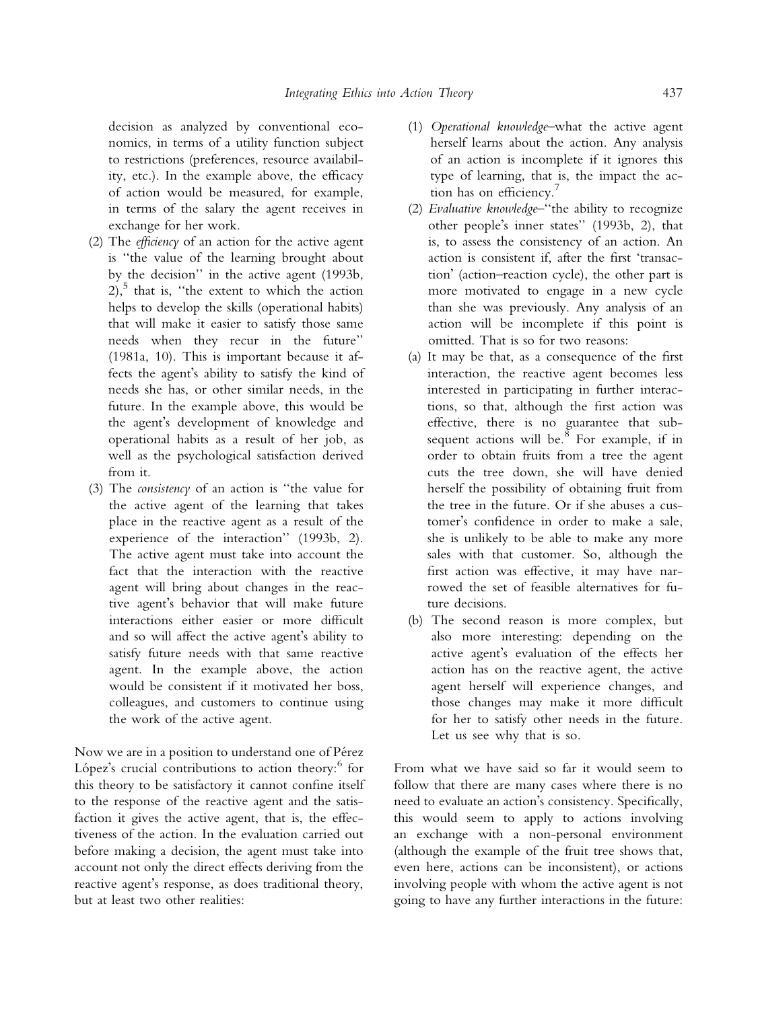decision as analyzed by conventional economics, in terms of a utility function subject to restrictions (preferences, resource availability, etc.). In the example above, the efficacy of action would be measured, for example, in terms of the salary the agent receives in exchange for her work.

- (2) The efficiency of an action for the active agent is ''the value of the learning brought about by the decision'' in the active agent (1993b,  $2$ <sup>5</sup>, that is, "the extent to which the action helps to develop the skills (operational habits) that will make it easier to satisfy those same needs when they recur in the future'' (1981a, 10). This is important because it affects the agent's ability to satisfy the kind of needs she has, or other similar needs, in the future. In the example above, this would be the agent's development of knowledge and operational habits as a result of her job, as well as the psychological satisfaction derived from it.
- (3) The consistency of an action is ''the value for the active agent of the learning that takes place in the reactive agent as a result of the experience of the interaction'' (1993b, 2). The active agent must take into account the fact that the interaction with the reactive agent will bring about changes in the reactive agent's behavior that will make future interactions either easier or more difficult and so will affect the active agent's ability to satisfy future needs with that same reactive agent. In the example above, the action would be consistent if it motivated her boss, colleagues, and customers to continue using the work of the active agent.

Now we are in a position to understand one of Pérez López's crucial contributions to action theory: $6$  for this theory to be satisfactory it cannot confine itself to the response of the reactive agent and the satisfaction it gives the active agent, that is, the effectiveness of the action. In the evaluation carried out before making a decision, the agent must take into account not only the direct effects deriving from the reactive agent's response, as does traditional theory, but at least two other realities:

- (1) Operational knowledge–what the active agent herself learns about the action. Any analysis of an action is incomplete if it ignores this type of learning, that is, the impact the action has on efficiency.<sup>7</sup>
- (2) Evaluative knowledge–''the ability to recognize other people's inner states'' (1993b, 2), that is, to assess the consistency of an action. An action is consistent if, after the first 'transaction' (action–reaction cycle), the other part is more motivated to engage in a new cycle than she was previously. Any analysis of an action will be incomplete if this point is omitted. That is so for two reasons:
- (a) It may be that, as a consequence of the first interaction, the reactive agent becomes less interested in participating in further interactions, so that, although the first action was effective, there is no guarantee that subsequent actions will be.<sup>8</sup> For example, if in order to obtain fruits from a tree the agent cuts the tree down, she will have denied herself the possibility of obtaining fruit from the tree in the future. Or if she abuses a customer's confidence in order to make a sale. she is unlikely to be able to make any more sales with that customer. So, although the first action was effective, it may have narrowed the set of feasible alternatives for future decisions.
- (b) The second reason is more complex, but also more interesting: depending on the active agent's evaluation of the effects her action has on the reactive agent, the active agent herself will experience changes, and those changes may make it more difficult for her to satisfy other needs in the future. Let us see why that is so.

From what we have said so far it would seem to follow that there are many cases where there is no need to evaluate an action's consistency. Specifically, this would seem to apply to actions involving an exchange with a non-personal environment (although the example of the fruit tree shows that, even here, actions can be inconsistent), or actions involving people with whom the active agent is not going to have any further interactions in the future: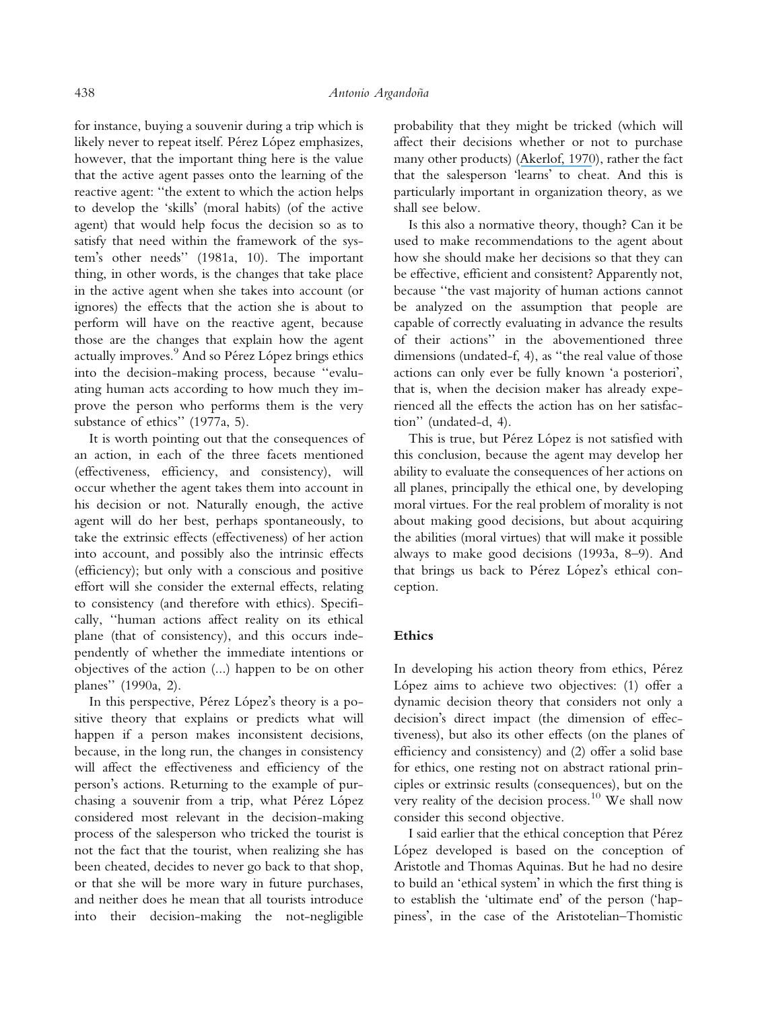for instance, buying a souvenir during a trip which is likely never to repeat itself. Pérez López emphasizes, however, that the important thing here is the value that the active agent passes onto the learning of the reactive agent: ''the extent to which the action helps to develop the 'skills' (moral habits) (of the active agent) that would help focus the decision so as to satisfy that need within the framework of the system's other needs" (1981a, 10). The important thing, in other words, is the changes that take place in the active agent when she takes into account (or ignores) the effects that the action she is about to perform will have on the reactive agent, because those are the changes that explain how the agent actually improves.<sup>9</sup> And so Pérez López brings ethics into the decision-making process, because ''evaluating human acts according to how much they improve the person who performs them is the very substance of ethics'' (1977a, 5).

It is worth pointing out that the consequences of an action, in each of the three facets mentioned (effectiveness, efficiency, and consistency), will occur whether the agent takes them into account in his decision or not. Naturally enough, the active agent will do her best, perhaps spontaneously, to take the extrinsic effects (effectiveness) of her action into account, and possibly also the intrinsic effects (efficiency); but only with a conscious and positive effort will she consider the external effects, relating to consistency (and therefore with ethics). Specifically, ''human actions affect reality on its ethical plane (that of consistency), and this occurs independently of whether the immediate intentions or objectives of the action (...) happen to be on other planes'' (1990a, 2).

In this perspective, Pérez López's theory is a positive theory that explains or predicts what will happen if a person makes inconsistent decisions, because, in the long run, the changes in consistency will affect the effectiveness and efficiency of the person's actions. Returning to the example of purchasing a souvenir from a trip, what Pérez López considered most relevant in the decision-making process of the salesperson who tricked the tourist is not the fact that the tourist, when realizing she has been cheated, decides to never go back to that shop, or that she will be more wary in future purchases, and neither does he mean that all tourists introduce into their decision-making the not-negligible

probability that they might be tricked (which will affect their decisions whether or not to purchase many other products) ([Akerlof, 1970](https://www.researchgate.net/publication/247928667_The_Market_for_Lemons_Quality_Uncertainty_and_the_Market_Mechanism?el=1_x_8&enrichId=rgreq-1fe0d867d7643e207a550e6175a7468d-XXX&enrichSource=Y292ZXJQYWdlOzUxNDkxNjk7QVM6MzE5NjI3OTAzNjAyNjg4QDE0NTMyMTY2MzgzODk=)), rather the fact that the salesperson 'learns' to cheat. And this is particularly important in organization theory, as we shall see below.

Is this also a normative theory, though? Can it be used to make recommendations to the agent about how she should make her decisions so that they can be effective, efficient and consistent? Apparently not, because ''the vast majority of human actions cannot be analyzed on the assumption that people are capable of correctly evaluating in advance the results of their actions'' in the abovementioned three dimensions (undated-f, 4), as ''the real value of those actions can only ever be fully known 'a posteriori', that is, when the decision maker has already experienced all the effects the action has on her satisfaction'' (undated-d, 4).

This is true, but Pérez López is not satisfied with this conclusion, because the agent may develop her ability to evaluate the consequences of her actions on all planes, principally the ethical one, by developing moral virtues. For the real problem of morality is not about making good decisions, but about acquiring the abilities (moral virtues) that will make it possible always to make good decisions (1993a, 8–9). And that brings us back to Pérez López's ethical conception.

# Ethics

In developing his action theory from ethics, Pérez López aims to achieve two objectives: (1) offer a dynamic decision theory that considers not only a decision's direct impact (the dimension of effectiveness), but also its other effects (on the planes of efficiency and consistency) and (2) offer a solid base for ethics, one resting not on abstract rational principles or extrinsic results (consequences), but on the very reality of the decision process.<sup>10</sup> We shall now consider this second objective.

I said earlier that the ethical conception that Pérez López developed is based on the conception of Aristotle and Thomas Aquinas. But he had no desire to build an 'ethical system' in which the first thing is to establish the 'ultimate end' of the person ('happiness', in the case of the Aristotelian-Thomistic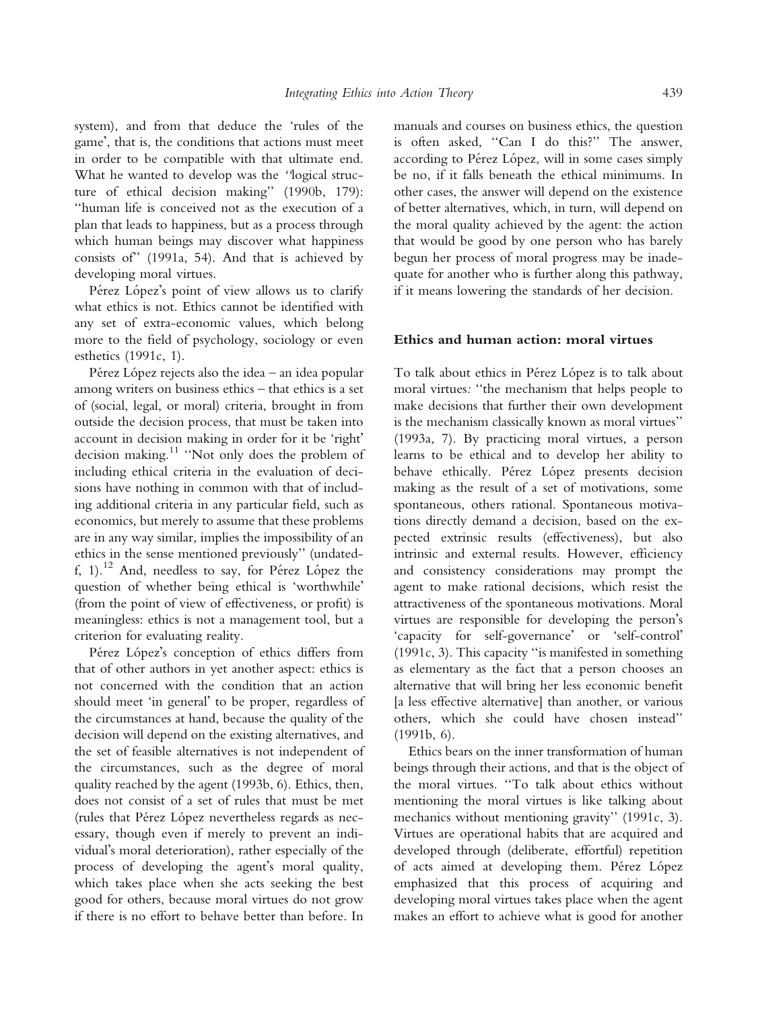system), and from that deduce the 'rules of the game', that is, the conditions that actions must meet in order to be compatible with that ultimate end. What he wanted to develop was the 'logical structure of ethical decision making'' (1990b, 179): ''human life is conceived not as the execution of a plan that leads to happiness, but as a process through which human beings may discover what happiness consists of'' (1991a, 54). And that is achieved by developing moral virtues.

Pérez López's point of view allows us to clarify what ethics is not. Ethics cannot be identified with any set of extra-economic values, which belong more to the field of psychology, sociology or even esthetics (1991c, 1).

Pérez López rejects also the idea – an idea popular among writers on business ethics – that ethics is a set of (social, legal, or moral) criteria, brought in from outside the decision process, that must be taken into account in decision making in order for it be 'right' decision making.<sup>11</sup> "Not only does the problem of including ethical criteria in the evaluation of decisions have nothing in common with that of including additional criteria in any particular field, such as economics, but merely to assume that these problems are in any way similar, implies the impossibility of an ethics in the sense mentioned previously'' (undatedf, 1).<sup>12</sup> And, needless to say, for Pérez López the question of whether being ethical is 'worthwhile' (from the point of view of effectiveness, or profit) is meaningless: ethics is not a management tool, but a criterion for evaluating reality.

Pérez López's conception of ethics differs from that of other authors in yet another aspect: ethics is not concerned with the condition that an action should meet 'in general' to be proper, regardless of the circumstances at hand, because the quality of the decision will depend on the existing alternatives, and the set of feasible alternatives is not independent of the circumstances, such as the degree of moral quality reached by the agent (1993b, 6). Ethics, then, does not consist of a set of rules that must be met (rules that Pérez López nevertheless regards as necessary, though even if merely to prevent an individual's moral deterioration), rather especially of the process of developing the agent's moral quality, which takes place when she acts seeking the best good for others, because moral virtues do not grow if there is no effort to behave better than before. In

manuals and courses on business ethics, the question is often asked, ''Can I do this?'' The answer, according to Pérez López, will in some cases simply be no, if it falls beneath the ethical minimums. In other cases, the answer will depend on the existence of better alternatives, which, in turn, will depend on the moral quality achieved by the agent: the action that would be good by one person who has barely begun her process of moral progress may be inadequate for another who is further along this pathway, if it means lowering the standards of her decision.

#### Ethics and human action: moral virtues

To talk about ethics in Pérez López is to talk about moral virtues: ''the mechanism that helps people to make decisions that further their own development is the mechanism classically known as moral virtues'' (1993a, 7). By practicing moral virtues, a person learns to be ethical and to develop her ability to behave ethically. Pérez López presents decision making as the result of a set of motivations, some spontaneous, others rational. Spontaneous motivations directly demand a decision, based on the expected extrinsic results (effectiveness), but also intrinsic and external results. However, efficiency and consistency considerations may prompt the agent to make rational decisions, which resist the attractiveness of the spontaneous motivations. Moral virtues are responsible for developing the person's 'capacity for self-governance' or 'self-control' (1991c, 3). This capacity ''is manifested in something as elementary as the fact that a person chooses an alternative that will bring her less economic benefit [a less effective alternative] than another, or various others, which she could have chosen instead'' (1991b, 6).

Ethics bears on the inner transformation of human beings through their actions, and that is the object of the moral virtues. ''To talk about ethics without mentioning the moral virtues is like talking about mechanics without mentioning gravity'' (1991c, 3). Virtues are operational habits that are acquired and developed through (deliberate, effortful) repetition of acts aimed at developing them. Pérez López emphasized that this process of acquiring and developing moral virtues takes place when the agent makes an effort to achieve what is good for another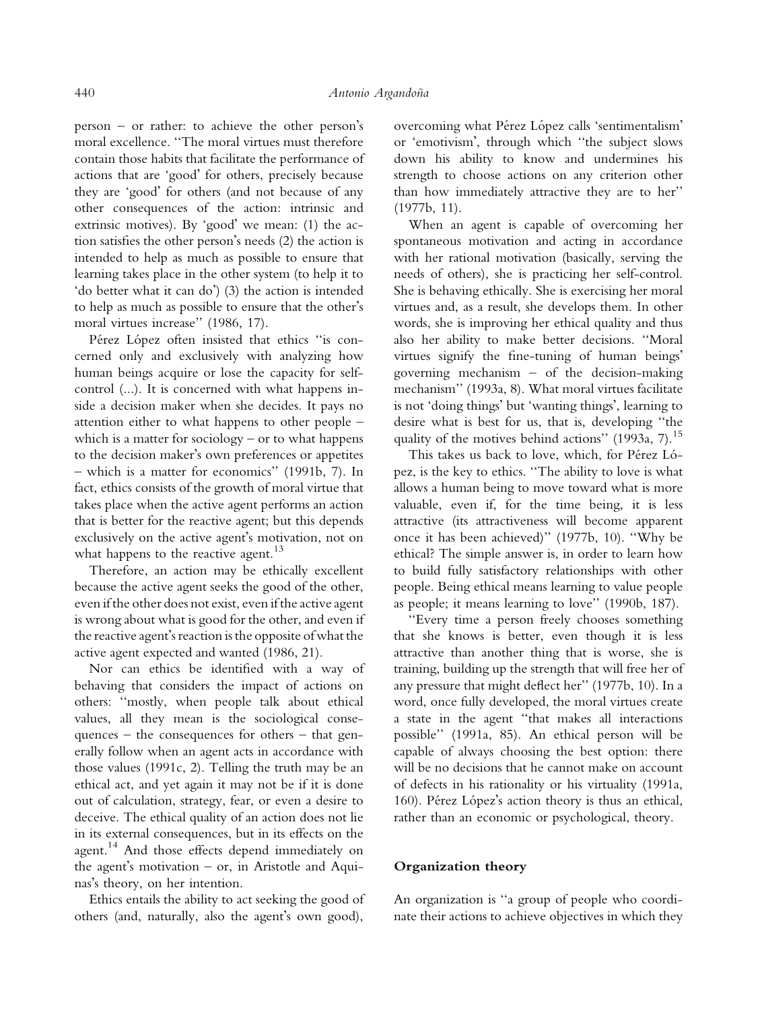person – or rather: to achieve the other person's moral excellence. ''The moral virtues must therefore contain those habits that facilitate the performance of actions that are 'good' for others, precisely because they are 'good' for others (and not because of any other consequences of the action: intrinsic and extrinsic motives). By 'good' we mean:  $(1)$  the action satisfies the other person's needs  $(2)$  the action is intended to help as much as possible to ensure that learning takes place in the other system (to help it to 'do better what it can do') (3) the action is intended to help as much as possible to ensure that the other's moral virtues increase'' (1986, 17).

Pérez López often insisted that ethics "is concerned only and exclusively with analyzing how human beings acquire or lose the capacity for selfcontrol (...). It is concerned with what happens inside a decision maker when she decides. It pays no attention either to what happens to other people – which is a matter for sociology – or to what happens to the decision maker's own preferences or appetites – which is a matter for economics'' (1991b, 7). In fact, ethics consists of the growth of moral virtue that takes place when the active agent performs an action that is better for the reactive agent; but this depends exclusively on the active agent's motivation, not on what happens to the reactive agent.<sup>13</sup>

Therefore, an action may be ethically excellent because the active agent seeks the good of the other, even if the other does not exist, even if the active agent is wrong about what is good for the other, and even if the reactive agent's reaction is the opposite of what the active agent expected and wanted (1986, 21).

Nor can ethics be identified with a way of behaving that considers the impact of actions on others: ''mostly, when people talk about ethical values, all they mean is the sociological consequences – the consequences for others – that generally follow when an agent acts in accordance with those values (1991c, 2). Telling the truth may be an ethical act, and yet again it may not be if it is done out of calculation, strategy, fear, or even a desire to deceive. The ethical quality of an action does not lie in its external consequences, but in its effects on the agent.<sup>14</sup> And those effects depend immediately on the agent's motivation  $-$  or, in Aristotle and Aquinas's theory, on her intention.

Ethics entails the ability to act seeking the good of others (and, naturally, also the agent's own good),

overcoming what Pérez López calls 'sentimentalism' or 'emotivism', through which "the subject slows down his ability to know and undermines his strength to choose actions on any criterion other than how immediately attractive they are to her'' (1977b, 11).

When an agent is capable of overcoming her spontaneous motivation and acting in accordance with her rational motivation (basically, serving the needs of others), she is practicing her self-control. She is behaving ethically. She is exercising her moral virtues and, as a result, she develops them. In other words, she is improving her ethical quality and thus also her ability to make better decisions. ''Moral virtues signify the fine-tuning of human beings' governing mechanism – of the decision-making mechanism'' (1993a, 8). What moral virtues facilitate is not 'doing things' but 'wanting things', learning to desire what is best for us, that is, developing ''the quality of the motives behind actions" (1993a, 7).<sup>15</sup>

This takes us back to love, which, for Pérez López, is the key to ethics. ''The ability to love is what allows a human being to move toward what is more valuable, even if, for the time being, it is less attractive (its attractiveness will become apparent once it has been achieved)'' (1977b, 10). ''Why be ethical? The simple answer is, in order to learn how to build fully satisfactory relationships with other people. Being ethical means learning to value people as people; it means learning to love'' (1990b, 187).

''Every time a person freely chooses something that she knows is better, even though it is less attractive than another thing that is worse, she is training, building up the strength that will free her of any pressure that might deflect her'' (1977b, 10). In a word, once fully developed, the moral virtues create a state in the agent ''that makes all interactions possible'' (1991a, 85). An ethical person will be capable of always choosing the best option: there will be no decisions that he cannot make on account of defects in his rationality or his virtuality (1991a, 160). Pérez López's action theory is thus an ethical, rather than an economic or psychological, theory.

#### Organization theory

An organization is ''a group of people who coordinate their actions to achieve objectives in which they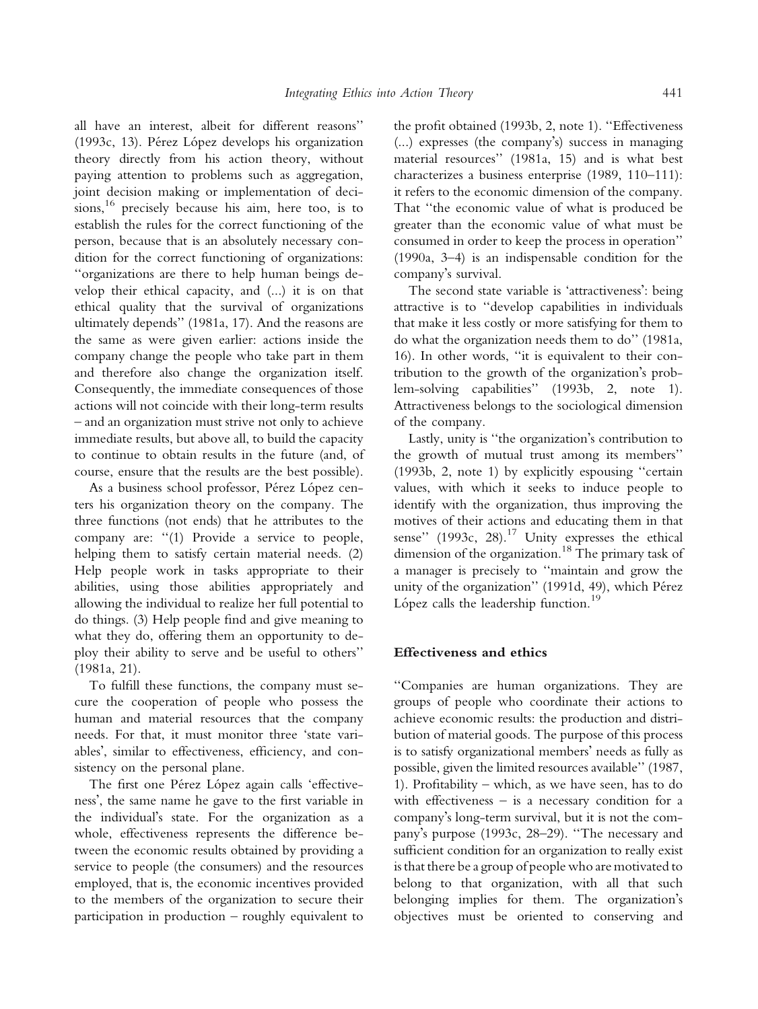all have an interest, albeit for different reasons'' (1993c, 13). Pérez López develops his organization theory directly from his action theory, without paying attention to problems such as aggregation, joint decision making or implementation of decisions,<sup>16</sup> precisely because his aim, here too, is to establish the rules for the correct functioning of the person, because that is an absolutely necessary condition for the correct functioning of organizations: ''organizations are there to help human beings develop their ethical capacity, and (...) it is on that ethical quality that the survival of organizations ultimately depends'' (1981a, 17). And the reasons are the same as were given earlier: actions inside the company change the people who take part in them and therefore also change the organization itself. Consequently, the immediate consequences of those actions will not coincide with their long-term results – and an organization must strive not only to achieve immediate results, but above all, to build the capacity to continue to obtain results in the future (and, of course, ensure that the results are the best possible).

As a business school professor, Pérez López centers his organization theory on the company. The three functions (not ends) that he attributes to the company are: ''(1) Provide a service to people, helping them to satisfy certain material needs. (2) Help people work in tasks appropriate to their abilities, using those abilities appropriately and allowing the individual to realize her full potential to do things. (3) Help people find and give meaning to what they do, offering them an opportunity to deploy their ability to serve and be useful to others'' (1981a, 21).

To fulfill these functions, the company must secure the cooperation of people who possess the human and material resources that the company needs. For that, it must monitor three 'state variables', similar to effectiveness, efficiency, and consistency on the personal plane.

The first one Pérez López again calls 'effectiveness', the same name he gave to the first variable in the individual's state. For the organization as a whole, effectiveness represents the difference between the economic results obtained by providing a service to people (the consumers) and the resources employed, that is, the economic incentives provided to the members of the organization to secure their participation in production – roughly equivalent to

the profit obtained (1993b, 2, note 1). ''Effectiveness (...) expresses (the company's) success in managing material resources'' (1981a, 15) and is what best characterizes a business enterprise (1989, 110–111): it refers to the economic dimension of the company. That ''the economic value of what is produced be greater than the economic value of what must be consumed in order to keep the process in operation'' (1990a, 3–4) is an indispensable condition for the company's survival.

The second state variable is 'attractiveness': being attractive is to ''develop capabilities in individuals that make it less costly or more satisfying for them to do what the organization needs them to do'' (1981a, 16). In other words, ''it is equivalent to their contribution to the growth of the organization's problem-solving capabilities'' (1993b, 2, note 1). Attractiveness belongs to the sociological dimension of the company.

Lastly, unity is "the organization's contribution to the growth of mutual trust among its members'' (1993b, 2, note 1) by explicitly espousing ''certain values, with which it seeks to induce people to identify with the organization, thus improving the motives of their actions and educating them in that sense" (1993c, 28).<sup>17</sup> Unity expresses the ethical dimension of the organization.<sup>18</sup> The primary task of a manager is precisely to ''maintain and grow the unity of the organization" (1991d, 49), which Pérez López calls the leadership function.<sup>19</sup>

#### Effectiveness and ethics

''Companies are human organizations. They are groups of people who coordinate their actions to achieve economic results: the production and distribution of material goods. The purpose of this process is to satisfy organizational members' needs as fully as possible, given the limited resources available'' (1987, 1). Profitability – which, as we have seen, has to do with effectiveness  $-$  is a necessary condition for a company's long-term survival, but it is not the company's purpose (1993c, 28-29). "The necessary and sufficient condition for an organization to really exist is that there be a group of people who are motivated to belong to that organization, with all that such belonging implies for them. The organization's objectives must be oriented to conserving and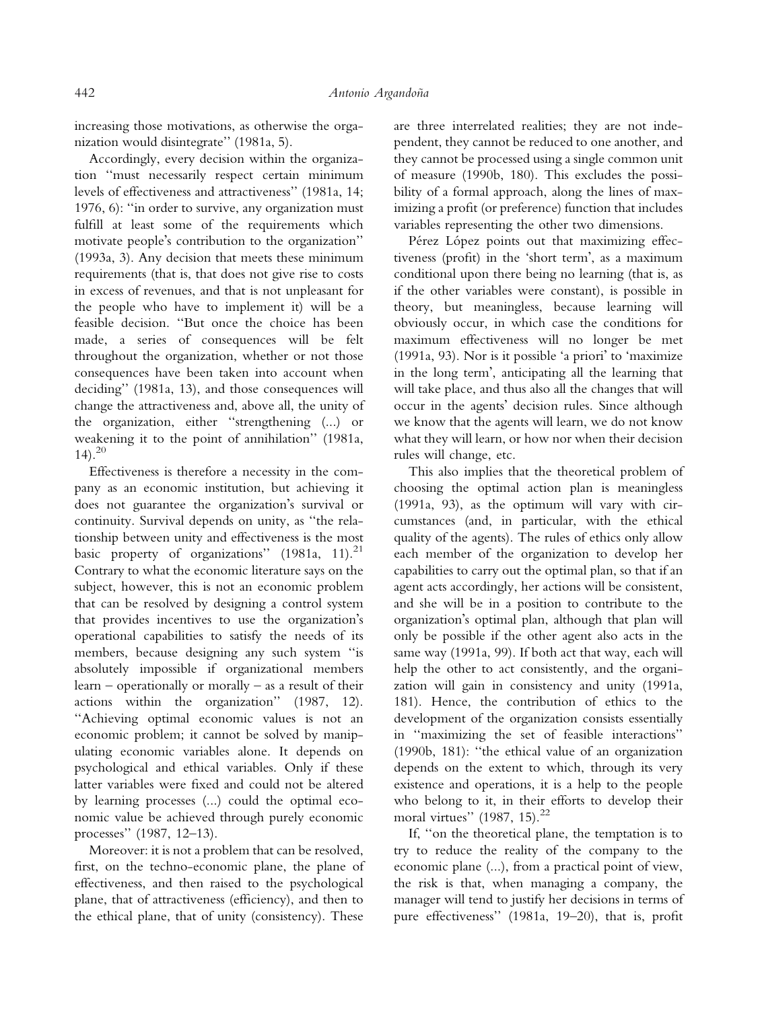increasing those motivations, as otherwise the organization would disintegrate'' (1981a, 5).

Accordingly, every decision within the organization ''must necessarily respect certain minimum levels of effectiveness and attractiveness'' (1981a, 14; 1976, 6): ''in order to survive, any organization must fulfill at least some of the requirements which motivate people's contribution to the organization" (1993a, 3). Any decision that meets these minimum requirements (that is, that does not give rise to costs in excess of revenues, and that is not unpleasant for the people who have to implement it) will be a feasible decision. ''But once the choice has been made, a series of consequences will be felt throughout the organization, whether or not those consequences have been taken into account when deciding'' (1981a, 13), and those consequences will change the attractiveness and, above all, the unity of the organization, either ''strengthening (...) or weakening it to the point of annihilation'' (1981a,  $(14)$ <sup>20</sup>

Effectiveness is therefore a necessity in the company as an economic institution, but achieving it does not guarantee the organization's survival or continuity. Survival depends on unity, as ''the relationship between unity and effectiveness is the most basic property of organizations"  $(1981a, 11).^{21}$ Contrary to what the economic literature says on the subject, however, this is not an economic problem that can be resolved by designing a control system that provides incentives to use the organization's operational capabilities to satisfy the needs of its members, because designing any such system ''is absolutely impossible if organizational members learn – operationally or morally – as a result of their actions within the organization'' (1987, 12). ''Achieving optimal economic values is not an economic problem; it cannot be solved by manipulating economic variables alone. It depends on psychological and ethical variables. Only if these latter variables were fixed and could not be altered by learning processes (...) could the optimal economic value be achieved through purely economic processes'' (1987, 12–13).

Moreover: it is not a problem that can be resolved, first, on the techno-economic plane, the plane of effectiveness, and then raised to the psychological plane, that of attractiveness (efficiency), and then to the ethical plane, that of unity (consistency). These

are three interrelated realities; they are not independent, they cannot be reduced to one another, and they cannot be processed using a single common unit of measure (1990b, 180). This excludes the possibility of a formal approach, along the lines of maximizing a profit (or preference) function that includes variables representing the other two dimensions.

Pérez López points out that maximizing effectiveness (profit) in the 'short term', as a maximum conditional upon there being no learning (that is, as if the other variables were constant), is possible in theory, but meaningless, because learning will obviously occur, in which case the conditions for maximum effectiveness will no longer be met  $(1991a, 93)$ . Nor is it possible 'a priori' to 'maximize in the long term', anticipating all the learning that will take place, and thus also all the changes that will occur in the agents' decision rules. Since although we know that the agents will learn, we do not know what they will learn, or how nor when their decision rules will change, etc.

This also implies that the theoretical problem of choosing the optimal action plan is meaningless (1991a, 93), as the optimum will vary with circumstances (and, in particular, with the ethical quality of the agents). The rules of ethics only allow each member of the organization to develop her capabilities to carry out the optimal plan, so that if an agent acts accordingly, her actions will be consistent, and she will be in a position to contribute to the organization's optimal plan, although that plan will only be possible if the other agent also acts in the same way (1991a, 99). If both act that way, each will help the other to act consistently, and the organization will gain in consistency and unity (1991a, 181). Hence, the contribution of ethics to the development of the organization consists essentially in ''maximizing the set of feasible interactions'' (1990b, 181): ''the ethical value of an organization depends on the extent to which, through its very existence and operations, it is a help to the people who belong to it, in their efforts to develop their moral virtues" (1987, 15). $^{22}$ 

If, ''on the theoretical plane, the temptation is to try to reduce the reality of the company to the economic plane (...), from a practical point of view, the risk is that, when managing a company, the manager will tend to justify her decisions in terms of pure effectiveness'' (1981a, 19–20), that is, profit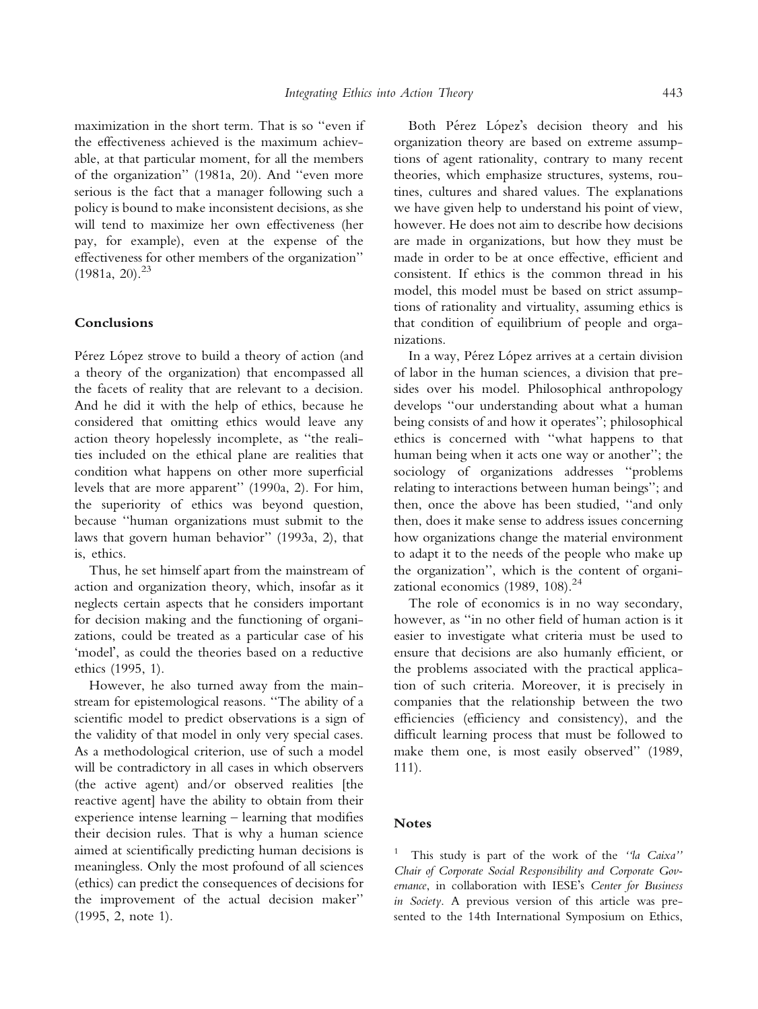maximization in the short term. That is so ''even if the effectiveness achieved is the maximum achievable, at that particular moment, for all the members of the organization'' (1981a, 20). And ''even more serious is the fact that a manager following such a policy is bound to make inconsistent decisions, as she will tend to maximize her own effectiveness (her pay, for example), even at the expense of the effectiveness for other members of the organization''  $(1981a, 20).^{23}$ 

## Conclusions

Pérez López strove to build a theory of action (and a theory of the organization) that encompassed all the facets of reality that are relevant to a decision. And he did it with the help of ethics, because he considered that omitting ethics would leave any action theory hopelessly incomplete, as ''the realities included on the ethical plane are realities that condition what happens on other more superficial levels that are more apparent'' (1990a, 2). For him, the superiority of ethics was beyond question, because ''human organizations must submit to the laws that govern human behavior'' (1993a, 2), that is, ethics.

Thus, he set himself apart from the mainstream of action and organization theory, which, insofar as it neglects certain aspects that he considers important for decision making and the functioning of organizations, could be treated as a particular case of his 'model', as could the theories based on a reductive ethics (1995, 1).

However, he also turned away from the mainstream for epistemological reasons. ''The ability of a scientific model to predict observations is a sign of the validity of that model in only very special cases. As a methodological criterion, use of such a model will be contradictory in all cases in which observers (the active agent) and/or observed realities [the reactive agent] have the ability to obtain from their experience intense learning – learning that modifies their decision rules. That is why a human science aimed at scientifically predicting human decisions is meaningless. Only the most profound of all sciences (ethics) can predict the consequences of decisions for the improvement of the actual decision maker'' (1995, 2, note 1).

Both Pérez López's decision theory and his organization theory are based on extreme assumptions of agent rationality, contrary to many recent theories, which emphasize structures, systems, routines, cultures and shared values. The explanations we have given help to understand his point of view, however. He does not aim to describe how decisions are made in organizations, but how they must be made in order to be at once effective, efficient and consistent. If ethics is the common thread in his model, this model must be based on strict assumptions of rationality and virtuality, assuming ethics is that condition of equilibrium of people and organizations.

In a way, Pérez López arrives at a certain division of labor in the human sciences, a division that presides over his model. Philosophical anthropology develops ''our understanding about what a human being consists of and how it operates''; philosophical ethics is concerned with ''what happens to that human being when it acts one way or another''; the sociology of organizations addresses ''problems relating to interactions between human beings''; and then, once the above has been studied, ''and only then, does it make sense to address issues concerning how organizations change the material environment to adapt it to the needs of the people who make up the organization'', which is the content of organizational economics (1989, 108). $^{24}$ 

The role of economics is in no way secondary, however, as ''in no other field of human action is it easier to investigate what criteria must be used to ensure that decisions are also humanly efficient, or the problems associated with the practical application of such criteria. Moreover, it is precisely in companies that the relationship between the two efficiencies (efficiency and consistency), and the difficult learning process that must be followed to make them one, is most easily observed'' (1989, 111).

## Notes

<sup>1</sup> This study is part of the work of the ''la Caixa'' Chair of Corporate Social Responsibility and Corporate Governance, in collaboration with IESE's Center for Business in Society. A previous version of this article was presented to the 14th International Symposium on Ethics,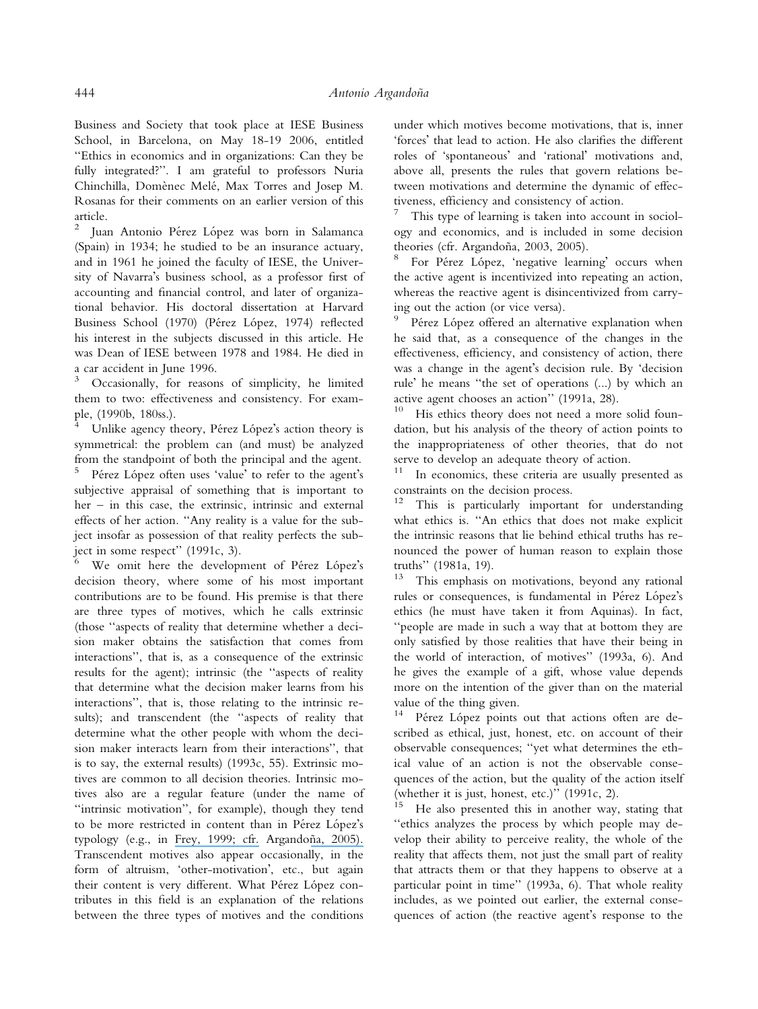Business and Society that took place at IESE Business School, in Barcelona, on May 18-19 2006, entitled ''Ethics in economics and in organizations: Can they be fully integrated?''. I am grateful to professors Nuria Chinchilla, Domènec Melé, Max Torres and Josep M. Rosanas for their comments on an earlier version of this article.

Juan Antonio Pérez López was born in Salamanca (Spain) in 1934; he studied to be an insurance actuary, and in 1961 he joined the faculty of IESE, the University of Navarra's business school, as a professor first of accounting and financial control, and later of organizational behavior. His doctoral dissertation at Harvard Business School (1970) (Pérez López, 1974) reflected his interest in the subjects discussed in this article. He was Dean of IESE between 1978 and 1984. He died in a car accident in June 1996.

<sup>3</sup> Occasionally, for reasons of simplicity, he limited them to two: effectiveness and consistency. For example, (1990b, 180ss.).

Unlike agency theory, Pérez López's action theory is symmetrical: the problem can (and must) be analyzed from the standpoint of both the principal and the agent.

 $5$  Pérez López often uses 'value' to refer to the agent's subjective appraisal of something that is important to her – in this case, the extrinsic, intrinsic and external effects of her action. ''Any reality is a value for the subject insofar as possession of that reality perfects the subject in some respect'' (1991c, 3).

 $6$  We omit here the development of Pérez López's decision theory, where some of his most important contributions are to be found. His premise is that there are three types of motives, which he calls extrinsic (those ''aspects of reality that determine whether a decision maker obtains the satisfaction that comes from interactions'', that is, as a consequence of the extrinsic results for the agent); intrinsic (the ''aspects of reality that determine what the decision maker learns from his interactions'', that is, those relating to the intrinsic results); and transcendent (the ''aspects of reality that determine what the other people with whom the decision maker interacts learn from their interactions'', that is to say, the external results) (1993c, 55). Extrinsic motives are common to all decision theories. Intrinsic motives also are a regular feature (under the name of ''intrinsic motivation'', for example), though they tend to be more restricted in content than in Pérez López's typology (e.g., in [Frey, 1999; cfr.](https://www.researchgate.net/publication/243769411_Economics_as_a_Science_of_Human_Behavior?el=1_x_8&enrichId=rgreq-1fe0d867d7643e207a550e6175a7468d-XXX&enrichSource=Y292ZXJQYWdlOzUxNDkxNjk7QVM6MzE5NjI3OTAzNjAyNjg4QDE0NTMyMTY2MzgzODk=) Argandoña, 2005). Transcendent motives also appear occasionally, in the form of altruism, 'other-motivation', etc., but again their content is very different. What Pérez López contributes in this field is an explanation of the relations between the three types of motives and the conditions

under which motives become motivations, that is, inner 'forces' that lead to action. He also clarifies the different roles of 'spontaneous' and 'rational' motivations and, above all, presents the rules that govern relations between motivations and determine the dynamic of effectiveness, efficiency and consistency of action.

This type of learning is taken into account in sociology and economics, and is included in some decision theories (cfr. Argandoña, 2003, 2005).<br><sup>8</sup> For Pérez López, 'negative learning' occurs when

the active agent is incentivized into repeating an action, whereas the reactive agent is disincentivized from carrying out the action (or vice versa).

Pérez López offered an alternative explanation when he said that, as a consequence of the changes in the effectiveness, efficiency, and consistency of action, there was a change in the agent's decision rule. By 'decision rule' he means "the set of operations (...) by which an active agent chooses an action" (1991a, 28).<br> $^{10}$  Lie athics theory does not need a more

His ethics theory does not need a more solid foundation, but his analysis of the theory of action points to the inappropriateness of other theories, that do not serve to develop an adequate theory of action.

<sup>11</sup> In economics, these criteria are usually presented as constraints on the decision process.

<sup>12</sup> This is particularly important for understanding what ethics is. ''An ethics that does not make explicit the intrinsic reasons that lie behind ethical truths has renounced the power of human reason to explain those truths'' (1981a, 19).

<sup>13</sup> This emphasis on motivations, beyond any rational rules or consequences, is fundamental in Pérez López's ethics (he must have taken it from Aquinas). In fact, ''people are made in such a way that at bottom they are only satisfied by those realities that have their being in the world of interaction, of motives'' (1993a, 6). And he gives the example of a gift, whose value depends more on the intention of the giver than on the material value of the thing given.

 $14$  Pérez López points out that actions often are described as ethical, just, honest, etc. on account of their observable consequences; ''yet what determines the ethical value of an action is not the observable consequences of the action, but the quality of the action itself (whether it is just, honest, etc.)'' (1991c, 2).

He also presented this in another way, stating that ''ethics analyzes the process by which people may develop their ability to perceive reality, the whole of the reality that affects them, not just the small part of reality that attracts them or that they happens to observe at a particular point in time'' (1993a, 6). That whole reality includes, as we pointed out earlier, the external consequences of action (the reactive agent's response to the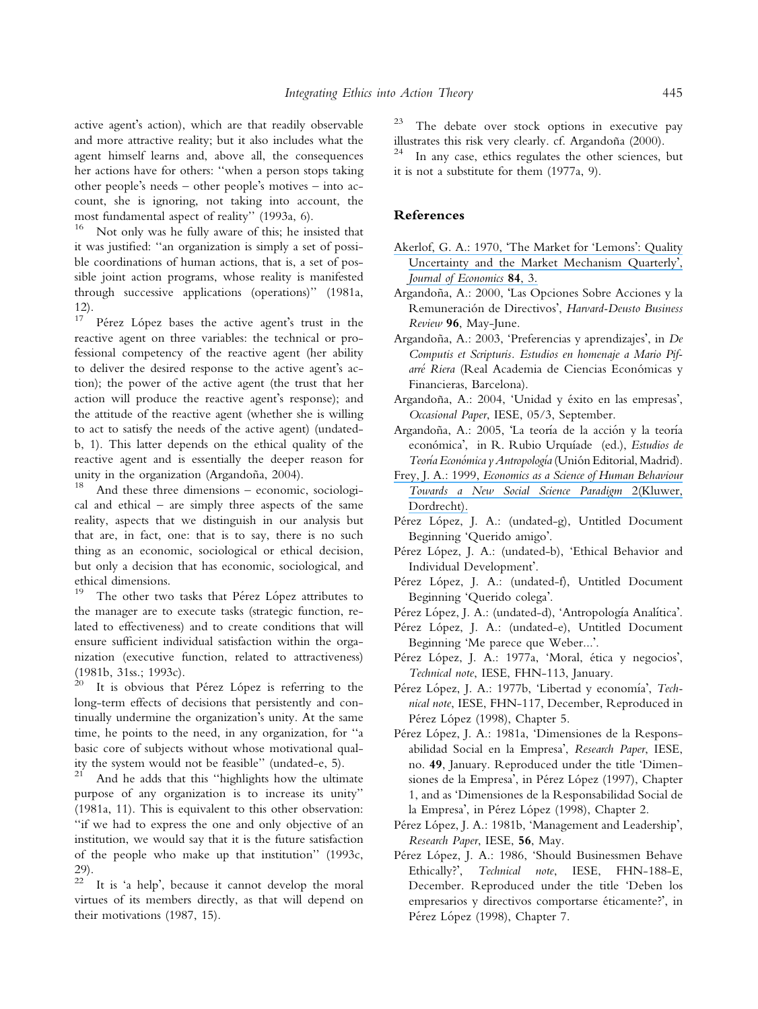active agent's action), which are that readily observable and more attractive reality; but it also includes what the agent himself learns and, above all, the consequences her actions have for others: ''when a person stops taking other people's needs – other people's motives – into account, she is ignoring, not taking into account, the most fundamental aspect of reality'' (1993a, 6).

<sup>16</sup> Not only was he fully aware of this; he insisted that it was justified: ''an organization is simply a set of possible coordinations of human actions, that is, a set of possible joint action programs, whose reality is manifested through successive applications (operations)'' (1981a,  $12$ .

Pérez López bases the active agent's trust in the reactive agent on three variables: the technical or professional competency of the reactive agent (her ability to deliver the desired response to the active agent's action); the power of the active agent (the trust that her action will produce the reactive agent's response); and the attitude of the reactive agent (whether she is willing to act to satisfy the needs of the active agent) (undatedb, 1). This latter depends on the ethical quality of the reactive agent and is essentially the deeper reason for unity in the organization (Argandoña, 2004).<br><sup>18</sup> And these three dimensions – economic, sociologi-

cal and ethical – are simply three aspects of the same reality, aspects that we distinguish in our analysis but that are, in fact, one: that is to say, there is no such thing as an economic, sociological or ethical decision, but only a decision that has economic, sociological, and ethical dimensions.<br><sup>19</sup> The other two

The other two tasks that Pérez López attributes to the manager are to execute tasks (strategic function, related to effectiveness) and to create conditions that will ensure sufficient individual satisfaction within the organization (executive function, related to attractiveness) (1981b, 31ss.; 1993c).

 $20$  It is obvious that Pérez López is referring to the long-term effects of decisions that persistently and continually undermine the organization's unity. At the same time, he points to the need, in any organization, for ''a basic core of subjects without whose motivational quality the system would not be feasible'' (undated-e, 5).

And he adds that this "highlights how the ultimate purpose of any organization is to increase its unity'' (1981a, 11). This is equivalent to this other observation: ''if we had to express the one and only objective of an institution, we would say that it is the future satisfaction of the people who make up that institution'' (1993c, 29).

It is 'a help', because it cannot develop the moral virtues of its members directly, as that will depend on their motivations (1987, 15).

<sup>23</sup> The debate over stock options in executive pay illustrates this risk very clearly. cf. Argandoña (2000).<br><sup>24</sup> In any case, ethics regulates the other sciences, but

it is not a substitute for them (1977a, 9).

## References

- Akerlof, G. A.: 1970, '[The Market for 'Lemons](https://www.researchgate.net/publication/247928667_The_Market_for_Lemons_Quality_Uncertainty_and_the_Market_Mechanism?el=1_x_8&enrichId=rgreq-1fe0d867d7643e207a550e6175a7468d-XXX&enrichSource=Y292ZXJQYWdlOzUxNDkxNjk7QVM6MzE5NjI3OTAzNjAyNjg4QDE0NTMyMTY2MzgzODk=)': Quality [Uncertainty and the Market Mechanism Quarterly](https://www.researchgate.net/publication/247928667_The_Market_for_Lemons_Quality_Uncertainty_and_the_Market_Mechanism?el=1_x_8&enrichId=rgreq-1fe0d867d7643e207a550e6175a7468d-XXX&enrichSource=Y292ZXJQYWdlOzUxNDkxNjk7QVM6MzE5NjI3OTAzNjAyNjg4QDE0NTMyMTY2MzgzODk=)', [Journal of Economics](https://www.researchgate.net/publication/247928667_The_Market_for_Lemons_Quality_Uncertainty_and_the_Market_Mechanism?el=1_x_8&enrichId=rgreq-1fe0d867d7643e207a550e6175a7468d-XXX&enrichSource=Y292ZXJQYWdlOzUxNDkxNjk7QVM6MzE5NjI3OTAzNjAyNjg4QDE0NTMyMTY2MzgzODk=) 84, 3.
- Argandoña, A.: 2000, 'Las Opciones Sobre Acciones y la Remuneración de Directivos', Harvard-Deusto Business Review 96, May-June.
- Argandoña, A.: 2003, 'Preferencias y aprendizajes', in De Computis et Scripturis. Estudios en homenaje a Mario Pifarré Riera (Real Academia de Ciencias Económicas y Financieras, Barcelona).
- Argandoña, A.: 2004, 'Unidad y éxito en las empresas', Occasional Paper, IESE, 05/3, September.
- Argandoña, A.: 2005, 'La teoría de la acción y la teoría económica', in R. Rubio Urquíade (ed.), Estudios de Teoría Económica y Antropología (Unión Editorial, Madrid).
- Frey, J. A.: 1999, [Economics as a Science of Human Behaviour](https://www.researchgate.net/publication/243769411_Economics_as_a_Science_of_Human_Behavior?el=1_x_8&enrichId=rgreq-1fe0d867d7643e207a550e6175a7468d-XXX&enrichSource=Y292ZXJQYWdlOzUxNDkxNjk7QVM6MzE5NjI3OTAzNjAyNjg4QDE0NTMyMTY2MzgzODk=) [Towards a New Social Science Paradigm](https://www.researchgate.net/publication/243769411_Economics_as_a_Science_of_Human_Behavior?el=1_x_8&enrichId=rgreq-1fe0d867d7643e207a550e6175a7468d-XXX&enrichSource=Y292ZXJQYWdlOzUxNDkxNjk7QVM6MzE5NjI3OTAzNjAyNjg4QDE0NTMyMTY2MzgzODk=) 2(Kluwer, [Dordrecht\).](https://www.researchgate.net/publication/243769411_Economics_as_a_Science_of_Human_Behavior?el=1_x_8&enrichId=rgreq-1fe0d867d7643e207a550e6175a7468d-XXX&enrichSource=Y292ZXJQYWdlOzUxNDkxNjk7QVM6MzE5NjI3OTAzNjAyNjg4QDE0NTMyMTY2MzgzODk=)
- Pérez López, J. A.: (undated-g), Untitled Document Beginning 'Querido amigo'.
- Pérez López, J. A.: (undated-b), 'Ethical Behavior and Individual Development'.
- Pérez López, J. A.: (undated-f), Untitled Document Beginning 'Querido colega'.
- Pérez López, J. A.: (undated-d), 'Antropología Analítica'.
- Pérez López, J. A.: (undated-e), Untitled Document Beginning 'Me parece que Weber...'.
- Pérez López, J. A.: 1977a, 'Moral, ética y negocios', Technical note, IESE, FHN-113, January.
- Pérez López, J. A.: 1977b, 'Libertad y economía', Technical note, IESE, FHN-117, December, Reproduced in Pérez López (1998), Chapter 5.
- Pérez López, J. A.: 1981a, 'Dimensiones de la Responsabilidad Social en la Empresa', Research Paper, IESE, no. 49, January. Reproduced under the title 'Dimensiones de la Empresa', in Pérez López (1997), Chapter 1, and as 'Dimensiones de la Responsabilidad Social de la Empresa', in Pérez López (1998), Chapter 2.
- Pérez López, J. A.: 1981b, 'Management and Leadership', Research Paper, IESE, 56, May.
- Pérez López, J. A.: 1986, 'Should Businessmen Behave Ethically?', Technical note, IESE, FHN-188-E, December. Reproduced under the title 'Deben los empresarios y directivos comportarse éticamente?', in Pérez López (1998), Chapter 7.